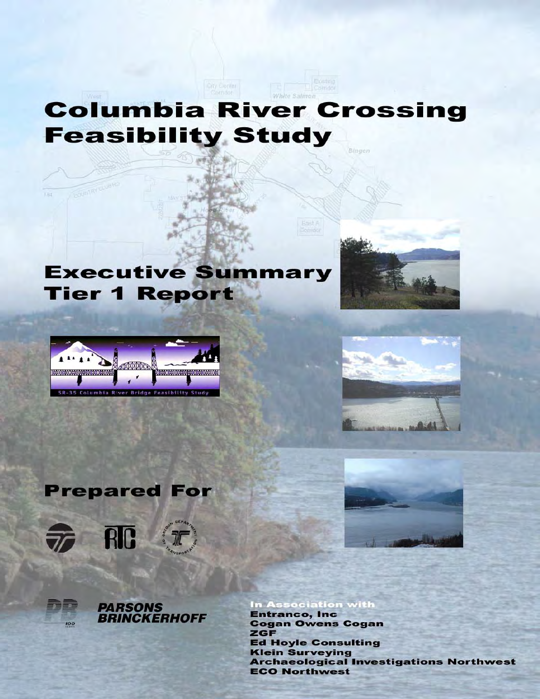# White Salmo **Columbia River Crossing Feasibility Study** Bingen

City Center

# **Executive Summary Tier 1 Report**



**TEOLOGICAL CLUB** 







100



**PARSONS<br>BRINCKERHOFF** 



In Association with **Entranco, Inc. Cogan Owens Cogan ZGF Ed Hoyle Consulting Klein Surveying Archaeological Investigations Northwest ECO Northwest**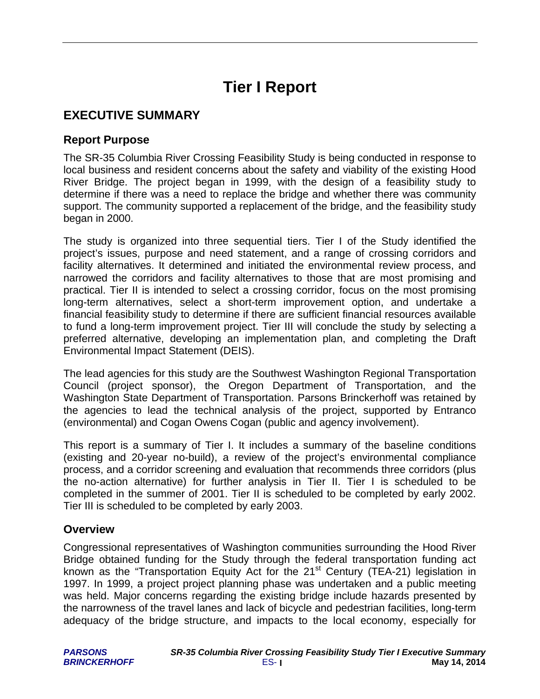# **Tier I Report**

## **EXECUTIVE SUMMARY**

#### **Report Purpose**

The SR-35 Columbia River Crossing Feasibility Study is being conducted in response to local business and resident concerns about the safety and viability of the existing Hood River Bridge. The project began in 1999, with the design of a feasibility study to determine if there was a need to replace the bridge and whether there was community support. The community supported a replacement of the bridge, and the feasibility study began in 2000.

The study is organized into three sequential tiers. Tier I of the Study identified the project's issues, purpose and need statement, and a range of crossing corridors and facility alternatives. It determined and initiated the environmental review process, and narrowed the corridors and facility alternatives to those that are most promising and practical. Tier II is intended to select a crossing corridor, focus on the most promising long-term alternatives, select a short-term improvement option, and undertake a financial feasibility study to determine if there are sufficient financial resources available to fund a long-term improvement project. Tier III will conclude the study by selecting a preferred alternative, developing an implementation plan, and completing the Draft Environmental Impact Statement (DEIS).

The lead agencies for this study are the Southwest Washington Regional Transportation Council (project sponsor), the Oregon Department of Transportation, and the Washington State Department of Transportation. Parsons Brinckerhoff was retained by the agencies to lead the technical analysis of the project, supported by Entranco (environmental) and Cogan Owens Cogan (public and agency involvement).

This report is a summary of Tier I. It includes a summary of the baseline conditions (existing and 20-year no-build), a review of the project's environmental compliance process, and a corridor screening and evaluation that recommends three corridors (plus the no-action alternative) for further analysis in Tier II. Tier I is scheduled to be completed in the summer of 2001. Tier II is scheduled to be completed by early 2002. Tier III is scheduled to be completed by early 2003.

#### **Overview**

Congressional representatives of Washington communities surrounding the Hood River Bridge obtained funding for the Study through the federal transportation funding act known as the "Transportation Equity Act for the  $21<sup>st</sup>$  Century (TEA-21) legislation in 1997. In 1999, a project project planning phase was undertaken and a public meeting was held. Major concerns regarding the existing bridge include hazards presented by the narrowness of the travel lanes and lack of bicycle and pedestrian facilities, long-term adequacy of the bridge structure, and impacts to the local economy, especially for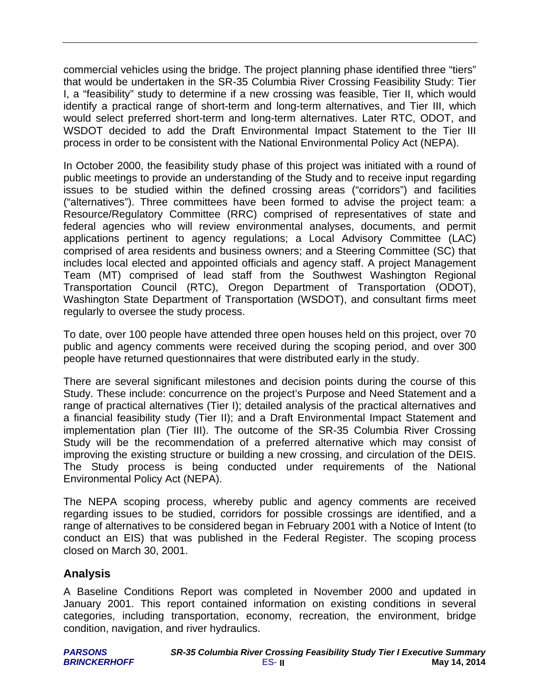commercial vehicles using the bridge. The project planning phase identified three "tiers" that would be undertaken in the SR-35 Columbia River Crossing Feasibility Study: Tier I, a "feasibility" study to determine if a new crossing was feasible, Tier II, which would identify a practical range of short-term and long-term alternatives, and Tier III, which would select preferred short-term and long-term alternatives. Later RTC, ODOT, and WSDOT decided to add the Draft Environmental Impact Statement to the Tier III process in order to be consistent with the National Environmental Policy Act (NEPA).

In October 2000, the feasibility study phase of this project was initiated with a round of public meetings to provide an understanding of the Study and to receive input regarding issues to be studied within the defined crossing areas ("corridors") and facilities ("alternatives"). Three committees have been formed to advise the project team: a Resource/Regulatory Committee (RRC) comprised of representatives of state and federal agencies who will review environmental analyses, documents, and permit applications pertinent to agency regulations; a Local Advisory Committee (LAC) comprised of area residents and business owners; and a Steering Committee (SC) that includes local elected and appointed officials and agency staff. A project Management Team (MT) comprised of lead staff from the Southwest Washington Regional Transportation Council (RTC), Oregon Department of Transportation (ODOT), Washington State Department of Transportation (WSDOT), and consultant firms meet regularly to oversee the study process.

To date, over 100 people have attended three open houses held on this project, over 70 public and agency comments were received during the scoping period, and over 300 people have returned questionnaires that were distributed early in the study.

There are several significant milestones and decision points during the course of this Study. These include: concurrence on the project's Purpose and Need Statement and a range of practical alternatives (Tier I); detailed analysis of the practical alternatives and a financial feasibility study (Tier II); and a Draft Environmental Impact Statement and implementation plan (Tier III). The outcome of the SR-35 Columbia River Crossing Study will be the recommendation of a preferred alternative which may consist of improving the existing structure or building a new crossing, and circulation of the DEIS. The Study process is being conducted under requirements of the National Environmental Policy Act (NEPA).

The NEPA scoping process, whereby public and agency comments are received regarding issues to be studied, corridors for possible crossings are identified, and a range of alternatives to be considered began in February 2001 with a Notice of Intent (to conduct an EIS) that was published in the Federal Register. The scoping process closed on March 30, 2001.

### **Analysis**

A Baseline Conditions Report was completed in November 2000 and updated in January 2001. This report contained information on existing conditions in several categories, including transportation, economy, recreation, the environment, bridge condition, navigation, and river hydraulics.

| <b>PARSONS</b>      | <b>SR-35 Columbia River Crossing Feasibility Study Tier I Executive Summary</b> |              |
|---------------------|---------------------------------------------------------------------------------|--------------|
| <b>BRINCKERHOFF</b> | $ES-II$                                                                         | May 14, 2014 |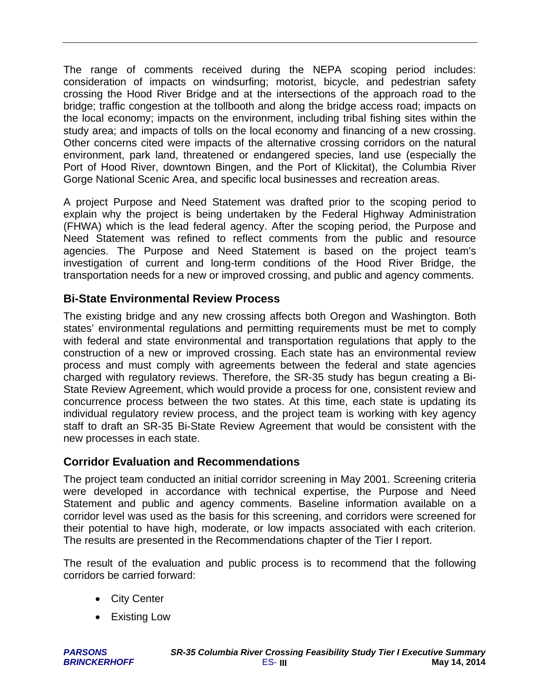The range of comments received during the NEPA scoping period includes: consideration of impacts on windsurfing; motorist, bicycle, and pedestrian safety crossing the Hood River Bridge and at the intersections of the approach road to the bridge; traffic congestion at the tollbooth and along the bridge access road; impacts on the local economy; impacts on the environment, including tribal fishing sites within the study area; and impacts of tolls on the local economy and financing of a new crossing. Other concerns cited were impacts of the alternative crossing corridors on the natural environment, park land, threatened or endangered species, land use (especially the Port of Hood River, downtown Bingen, and the Port of Klickitat), the Columbia River Gorge National Scenic Area, and specific local businesses and recreation areas.

A project Purpose and Need Statement was drafted prior to the scoping period to explain why the project is being undertaken by the Federal Highway Administration (FHWA) which is the lead federal agency. After the scoping period, the Purpose and Need Statement was refined to reflect comments from the public and resource agencies. The Purpose and Need Statement is based on the project team's investigation of current and long-term conditions of the Hood River Bridge, the transportation needs for a new or improved crossing, and public and agency comments.

### **Bi-State Environmental Review Process**

The existing bridge and any new crossing affects both Oregon and Washington. Both states' environmental regulations and permitting requirements must be met to comply with federal and state environmental and transportation regulations that apply to the construction of a new or improved crossing. Each state has an environmental review process and must comply with agreements between the federal and state agencies charged with regulatory reviews. Therefore, the SR-35 study has begun creating a Bi-State Review Agreement, which would provide a process for one, consistent review and concurrence process between the two states. At this time, each state is updating its individual regulatory review process, and the project team is working with key agency staff to draft an SR-35 Bi-State Review Agreement that would be consistent with the new processes in each state.

### **Corridor Evaluation and Recommendations**

The project team conducted an initial corridor screening in May 2001. Screening criteria were developed in accordance with technical expertise, the Purpose and Need Statement and public and agency comments. Baseline information available on a corridor level was used as the basis for this screening, and corridors were screened for their potential to have high, moderate, or low impacts associated with each criterion. The results are presented in the Recommendations chapter of the Tier I report.

The result of the evaluation and public process is to recommend that the following corridors be carried forward:

- City Center
- Existing Low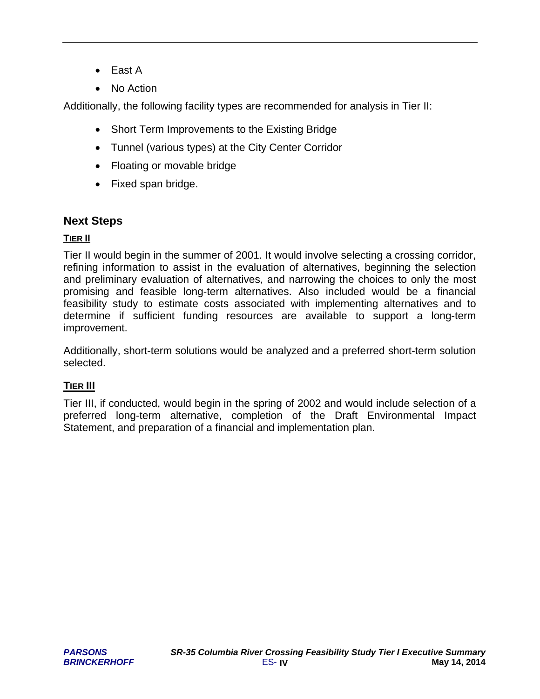- East A
- No Action

Additionally, the following facility types are recommended for analysis in Tier II:

- Short Term Improvements to the Existing Bridge
- Tunnel (various types) at the City Center Corridor
- Floating or movable bridge
- Fixed span bridge.

#### **Next Steps**

#### **TIER II**

Tier II would begin in the summer of 2001. It would involve selecting a crossing corridor, refining information to assist in the evaluation of alternatives, beginning the selection and preliminary evaluation of alternatives, and narrowing the choices to only the most promising and feasible long-term alternatives. Also included would be a financial feasibility study to estimate costs associated with implementing alternatives and to determine if sufficient funding resources are available to support a long-term improvement.

Additionally, short-term solutions would be analyzed and a preferred short-term solution selected.

#### **TIER III**

Tier III, if conducted, would begin in the spring of 2002 and would include selection of a preferred long-term alternative, completion of the Draft Environmental Impact Statement, and preparation of a financial and implementation plan.